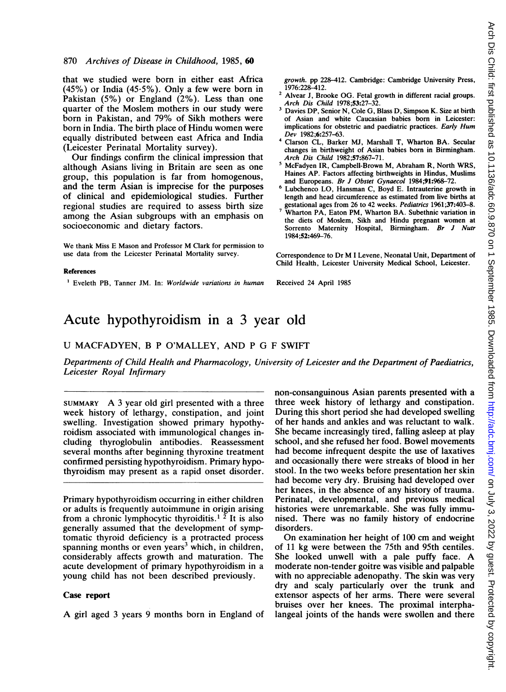that we studied were born in either east Africa (45%) or India (45.5%). Only a few were born in Pakistan (5%) or England (2%). Less than one quarter of the Moslem mothers in our study were born in Pakistan, and 79% of Sikh mothers were born in India. The birth place of Hindu women were equally distributed between east Africa and India (Leicester Perinatal Mortality survey).

Our findings confirm the clinical impression that although Asians living in Britain are seen as one group, this population is far from homogenous, and the term Asian is imprecise for the purposes of clinical and epidemiological studies. Further regional studies are required to assess birth size among the Asian subgroups with an emphasis on socioeconomic and dietary factors.

We thank Miss E Mason and Professor M Clark for permission to use data from the Leicester Perinatal Mortality survey.

#### References

<sup>1</sup> Eveleth PB, Tanner JM. In: Worldwide variations in human

growth. pp 228-412. Cambridge: Cambridge University Press, 1976:228-412.

- <sup>2</sup> Alvear J, Brooke OG. Fetal growth in different racial groups. Arch Dis Child 1978;53:27-32.
- <sup>3</sup> Davies DP, Senior N, Cole G, Blass D, Simpson K. Size at birth of Asian and white Caucasian babies born in Leicester: implications for obstetric and paediatric practices. Early Hum Dev 1982;6:257-63.
- <sup>4</sup> Clarson CL, Barker MJ, Marshall T, Wharton BA. Secular changes in birthweight of Asian babies born in Birmingham. Arch Dis Child 1982;57:867-71.
- <sup>5</sup> McFadyen IR, Campbell-Brown M, Abraham R, North WRS, Haines AP. Factors affecting birthweights in Hindus, Muslims
- and Europeans. *Br J Obstet Gynaecol* 1984;91:968–72.<br><sup>6</sup> Lubchenco LO, Hansman C, Boyd E. Intrauterine growth in length and head circumference as estimated from live births at gestational ages from 26 to 42 weeks. Pediatrics 1961;37:403-8.
- Wharton PA, Eaton PM, Wharton BA. Subethnic variation in the diets of Moslem, Sikh and Hindu pregnant women at Sorrento Maternity Hospital, Birmingham. Br J Nutr 1984;52:469-76.

Correspondence to Dr M <sup>I</sup> Levene, Neonatal Unit, Department of Child Health, Leicester University Medical School, Leicester.

Received 24 April 1985

## Acute hypothyroidism in a 3 year old

## U MACFADYEN, B <sup>P</sup> O'MALLEY, AND P G F SWIFT

Departments of Child Health and Pharmacology, University of Leicester and the Department of Paediatrics, Leicester Royal Infirmary

SUMMARY A <sup>3</sup> year old girl presented with a three week history of lethargy, constipation, and joint swelling. Investigation showed primary hypothyroidism associated with immunological changes including thyroglobulin antibodies. Reassessment several months after beginning thyroxine treatment confirmed persisting hypothyroidism. Primary hypothyroidism may present as a rapid onset disorder.

Primary hypothyroidism occurring in either children or adults is frequently autoimmune in origin arising from a chronic lymphocytic thyroiditis.<sup>1</sup>  $\overline{2}$  It is also generally assumed that the development of symptomatic thyroid deficiency is a protracted process spanning months or even years<sup>3</sup> which, in children, considerably affects growth and maturation. The acute development of primary hypothyroidism in a young child has not been described previously.

#### Case report

A girl aged <sup>3</sup> years <sup>9</sup> months born in England of

non-consanguinous Asian parents presented with a three week history of lethargy and constipation. During this short period she had developed swelling of her hands and ankles and was reluctant to walk. She became increasingly tired, falling asleep at play school, and she refused her food. Bowel movements had become infrequent despite the use of laxatives and occasionally there were streaks of blood in her stool. In the two weeks before presentation her skin had become very dry. Bruising had developed over her knees, in the absence of any history of trauma. Perinatal, developmental, and previous medical histories were unremarkable. She was fully immunised. There was no family history of endocrine disorders.

On examination her height of 100 cm and weight of 11 kg were between the 75th and 95th centiles. She looked unwell with <sup>a</sup> pale puffy face. A moderate non-tender goitre was visible and palpable with no appreciable adenopathy. The skin was very dry and scaly particularly over the trunk and extensor aspects of her arms. There were several bruises over her knees. The proximal interphalangeal joints of the hands were swollen and there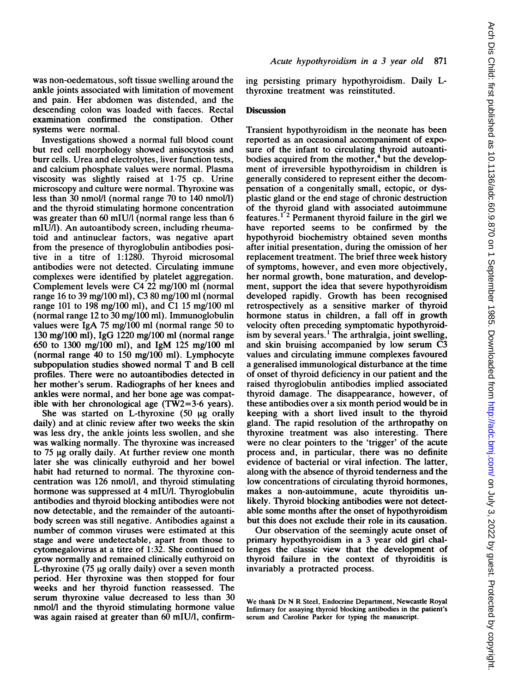was non-oedematous, soft tissue swelling around the ankle joints associated with limitation of movement and pain. Her abdomen was distended, and the descending colon was loaded with faeces. Rectal examination confirmed the constipation. Other systems were normal.

Investigations showed a normal full blood count but red cell morphology showed anisocytosis and burr cells. Urea and electrolytes, liver function tests, and calcium phosphate values were normal. Plasma viscosity was slightly raised at 1-75 cp. Urine microscopy and culture were normal. Thyroxine was less than 30 nmol/l (normal range 70 to  $140 \text{ nmol/l}$ ) and the thyroid stimulating hormone concentration was greater than 60 mIU/l (normal range less than 6 mIU/l). An autoantibody screen, including rheumatoid and antinuclear factors, was negative apart from the presence of thyroglobulin antibodies positive in a titre of 1:1280. Thyroid microsomal antibodies were not detected. Circulating immune complexes were identified by platelet aggregation. Complement levels were C4 22 mg/100 ml (normal range 16 to 39 mg/100 ml), C3 80 mg/100 ml (normal range 101 to 198 mg/100 ml), and Cl 15 mg/100 ml (normal range 12 to 30 mg/100 ml). Immunoglobulin values were IgA 75 mg/100 ml (normal range 50 to 130 mg/100 ml), IgG 1220 mg/100 ml (normal range 650 to 1300 mg/100 ml), and IgM 125 mg/100 ml (normal range 40 to 150 mg/100 ml). Lymphocyte subpopulation studies showed normal T and B cell profiles. There were no autoantibodies detected in her mother's serum. Radiographs of her knees and ankles were normal, and her bone age was compatible with her chronological age (TW2=3-6 years).

She was started on L-thyroxine  $(50 \mu g)$  orally daily) and at clinic review after two weeks the skin was less dry, the ankle joints less swollen, and she was walking normally. The thyroxine was increased to  $75 \mu g$  orally daily. At further review one month later she was clinically euthyroid and her bowel habit had returned to normal. The thyroxine concentration was 126 nmol/l, and thyroid stimulating hormone was suppressed at 4 mIU/1. Thyroglobulin antibodies and thyroid blocking antibodies were not now detectable, and the remainder of the autoantibody screen was still negative. Antibodies against a number of common viruses were estimated at this stage and were undetectable, apart from those to cytomegalovirus at a titre of 1:32. She continued to grow normally and remained clinically euthyroid on L-thyroxine  $(75 \mu g)$  orally daily) over a seven month period. Her thyroxine was then stopped for four weeks and her thyroid function reassessed. The serum thyroxine value decreased to less than 30 nmol/l and the thyroid stimulating hormone value was again raised at greater than 60 mIU/1, confirming persisting primary hypothyroidism. Daily Lthyroxine treatment was reinstituted.

## **Discussion**

Transient hypothyroidism in the neonate has been reported as an occasional accompaniment of exposure of the infant to circulating thyroid autoantibodies acquired from the mother, $4$  but the development of irreversible hypothyroidism in children is generally considered to represent either the decompensation of a congenitally small, ectopic, or dysplastic gland or the end stage of chronic destruction of the thyroid gland with associated autoimmune features.<sup>1'2</sup> Permanent thyroid failure in the girl we have reported seems to be confirmed by the hypothyroid biochemistry obtained seven months after initial presentation, during the omission of her replacement treatment. The brief three week history of symptoms, however, and even more objectively, her normal growth, bone maturation, and development, support the idea that severe hypothyroidism developed rapidly. Growth has been recognised retrospectively as a sensitive marker of thyroid hormone status in children, a fall off in growth velocity often preceding symptomatic hypothyroidism by several years.' The arthralgia, joint swelling, and skin bruising accompanied by low serum C3 values and circulating immune complexes favoured a generalised immunological disturbance at the time of onset of thyroid deficiency in our patient and the raised thyroglobulin antibodies implied associated thyroid damage. The disappearance, however, of these antibodies over a six month period would be in keeping with a short lived insult to the thyroid gland. The rapid resolution of the arthropathy on thyroxine treatment was also interesting. There were no clear pointers to the 'trigger' of the acute process and, in particular, there was no definite evidence of bacterial or viral infection. The latter, along with the absence of thyroid tenderness and the low concentrations of circulating thyroid hormones, makes a non-autoimmune, acute thyroiditis unlikely. Thyroid blocking antibodies were not detectable some months after the onset of hypothyroidism but this does not exclude their role in its causation.

Our observation of the seemingly acute onset of primary hypothyroidism in a 3 year old girl challenges the classic view that the development of thyroid failure in the context of thyroiditis is invariably a protracted process.

We thank Dr N R Steel, Endocrine Department, Newcastle Royal Infirmary for assaying thyroid blocking antibodies in the patient's serum and Caroline Parker for typing the manuscript.